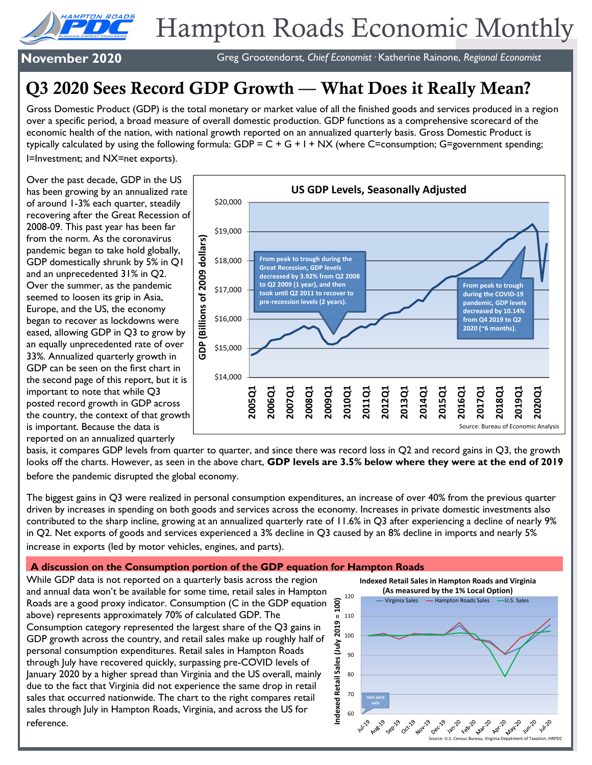

# Hampton Roads Economic Monthly

**November 2020** Greg Grootendorst*, Chief Economist·* Katherine Rainone, *Regional Economist*

## Q3 2020 Sees Record GDP Growth — What Does it Really Mean?

Gross Domestic Product (GDP) is the total monetary or market value of all the finished goods and services produced in a region over a specific period, a broad measure of overall domestic production. GDP functions as a comprehensive scorecard of the economic health of the nation, with national growth reported on an annualized quarterly basis. Gross Domestic Product is typically calculated by using the following formula:  $GDP = C + G + I + NX$  (where C=consumption; G=government spending; I=Investment; and NX=net exports).

Over the past decade, GDP in the US has been growing by an annualized rate of around 1-3% each quarter, steadily recovering after the Great Recession of 2008-09. This past year has been far from the norm. As the coronavirus pandemic began to take hold globally, GDP domestically shrunk by 5% in Q1 and an unprecedented 31% in Q2. Over the summer, as the pandemic seemed to loosen its grip in Asia, Europe, and the US, the economy began to recover as lockdowns were eased, allowing GDP in Q3 to grow by an equally unprecedented rate of over 33%. Annualized quarterly growth in GDP can be seen on the first chart in the second page of this report, but it is important to note that while Q3 posted record growth in GDP across the country, the context of that growth is important. Because the data is reported on an annualized quarterly



basis, it compares GDP levels from quarter to quarter, and since there was record loss in Q2 and record gains in Q3, the growth looks off the charts. However, as seen in the above chart, **GDP levels are 3.5% below where they were at the end of 2019**  before the pandemic disrupted the global economy.

The biggest gains in Q3 were realized in personal consumption expenditures, an increase of over 40% from the previous quarter driven by increases in spending on both goods and services across the economy. Increases in private domestic investments also contributed to the sharp incline, growing at an annualized quarterly rate of 11.6% in Q3 after experiencing a decline of nearly 9% in Q2. Net exports of goods and services experienced a 3% decline in Q3 caused by an 8% decline in imports and nearly 5% increase in exports (led by motor vehicles, engines, and parts).

#### **A discussion on the Consumption portion of the GDP equation for Hampton Roads**

While GDP data is not reported on a quarterly basis across the region and annual data won't be available for some time, retail sales in Hampton Roads are a good proxy indicator. Consumption (C in the GDP equation above) represents approximately 70% of calculated GDP. The Consumption category represented the largest share of the Q3 gains in GDP growth across the country, and retail sales make up roughly half of personal consumption expenditures. Retail sales in Hampton Roads through July have recovered quickly, surpassing pre-COVID levels of January 2020 by a higher spread than Virginia and the US overall, mainly due to the fact that Virginia did not experience the same drop in retail sales that occurred nationwide. The chart to the right compares retail sales through July in Hampton Roads, Virginia, and across the US for reference.

**Indexed Retail Sales in Hampton Roads and Virginia**

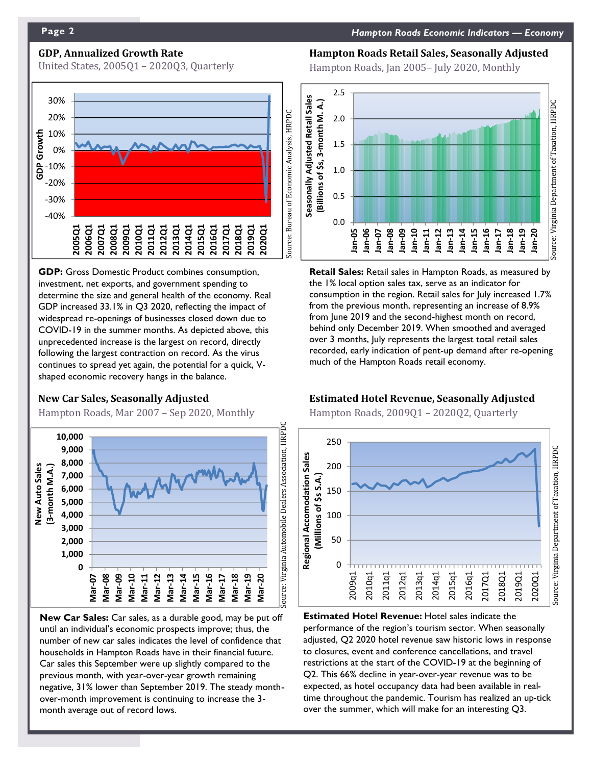## **GDP, Annualized Growth Rate**

United States, 2005Q1 – 2020Q3, Quarterly



**GDP:** Gross Domestic Product combines consumption, investment, net exports, and government spending to determine the size and general health of the economy. Real GDP increased 33.1% in Q3 2020, reflecting the impact of widespread re-openings of businesses closed down due to COVID-19 in the summer months. As depicted above, this unprecedented increase is the largest on record, directly following the largest contraction on record. As the virus continues to spread yet again, the potential for a quick, Vshaped economic recovery hangs in the balance.

#### **New Car Sales, Seasonally Adjusted**

Hampton Roads, Mar 2007 – Sep 2020, Monthly



**New Car Sales:** Car sales, as a durable good, may be put off until an individual's economic prospects improve; thus, the number of new car sales indicates the level of confidence that households in Hampton Roads have in their financial future. Car sales this September were up slightly compared to the previous month, with year-over-year growth remaining negative, 31% lower than September 2019. The steady monthover-month improvement is continuing to increase the 3 month average out of record lows.

#### **Hampton Roads Retail Sales, Seasonally Adjusted**

Hampton Roads, Jan 2005– July 2020, Monthly



**Retail Sales:** Retail sales in Hampton Roads, as measured by the 1% local option sales tax, serve as an indicator for consumption in the region. Retail sales for July increased 1.7% from the previous month, representing an increase of 8.9% from June 2019 and the second-highest month on record, behind only December 2019. When smoothed and averaged over 3 months, July represents the largest total retail sales recorded, early indication of pent-up demand after re-opening much of the Hampton Roads retail economy.

#### **Estimated Hotel Revenue, Seasonally Adjusted**

Hampton Roads, 2009Q1 – 2020Q2, Quarterly



**Estimated Hotel Revenue:** Hotel sales indicate the performance of the region's tourism sector. When seasonally adjusted, Q2 2020 hotel revenue saw historic lows in response to closures, event and conference cancellations, and travel restrictions at the start of the COVID-19 at the beginning of Q2. This 66% decline in year-over-year revenue was to be expected, as hotel occupancy data had been available in realtime throughout the pandemic. Tourism has realized an up-tick over the summer, which will make for an interesting Q3.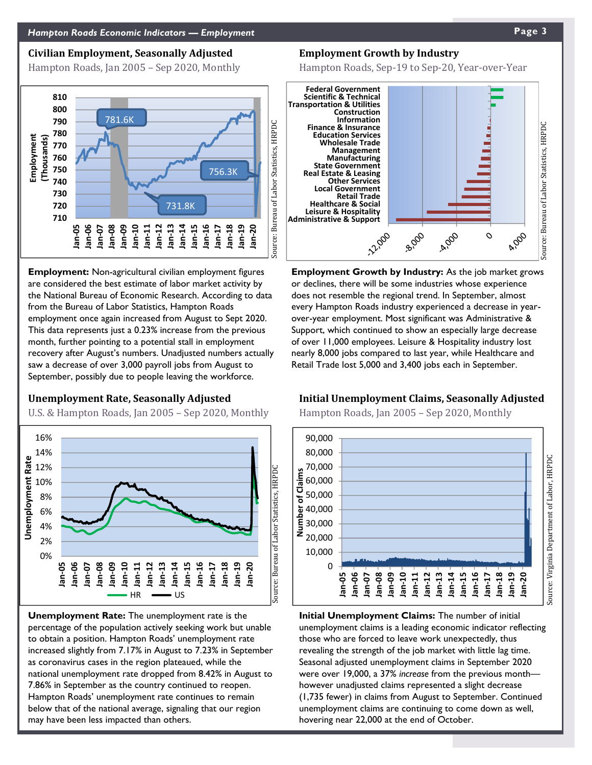#### **Civilian Employment, Seasonally Adjusted**

Hampton Roads, Jan 2005 – Sep 2020, Monthly



**Employment:** Non-agricultural civilian employment figures are considered the best estimate of labor market activity by the National Bureau of Economic Research. According to data from the Bureau of Labor Statistics, Hampton Roads employment once again increased from August to Sept 2020. This data represents just a 0.23% increase from the previous month, further pointing to a potential stall in employment recovery after August's numbers. Unadjusted numbers actually saw a decrease of over 3,000 payroll jobs from August to September, possibly due to people leaving the workforce.

#### **Unemployment Rate, Seasonally Adjusted**

U.S. & Hampton Roads, Jan 2005 – Sep 2020, Monthly



**Unemployment Rate:** The unemployment rate is the percentage of the population actively seeking work but unable to obtain a position. Hampton Roads' unemployment rate increased slightly from 7.17% in August to 7.23% in September as coronavirus cases in the region plateaued, while the national unemployment rate dropped from 8.42% in August to 7.86% in September as the country continued to reopen. Hampton Roads' unemployment rate continues to remain below that of the national average, signaling that our region may have been less impacted than others.

#### **Employment Growth by Industry**

Hampton Roads, Sep-19 to Sep-20, Year-over-Year



**Employment Growth by Industry:** As the job market grows or declines, there will be some industries whose experience does not resemble the regional trend. In September, almost every Hampton Roads industry experienced a decrease in yearover-year employment. Most significant was Administrative & Support, which continued to show an especially large decrease of over 11,000 employees. Leisure & Hospitality industry lost nearly 8,000 jobs compared to last year, while Healthcare and Retail Trade lost 5,000 and 3,400 jobs each in September.

#### **Initial Unemployment Claims, Seasonally Adjusted**

Hampton Roads, Jan 2005 – Sep 2020, Monthly



**Initial Unemployment Claims:** The number of initial unemployment claims is a leading economic indicator reflecting those who are forced to leave work unexpectedly, thus revealing the strength of the job market with little lag time. Seasonal adjusted unemployment claims in September 2020 were over 19,000, a 37% *increase* from the previous month however unadjusted claims represented a slight decrease (1,735 fewer) in claims from August to September. Continued unemployment claims are continuing to come down as well, hovering near 22,000 at the end of October.